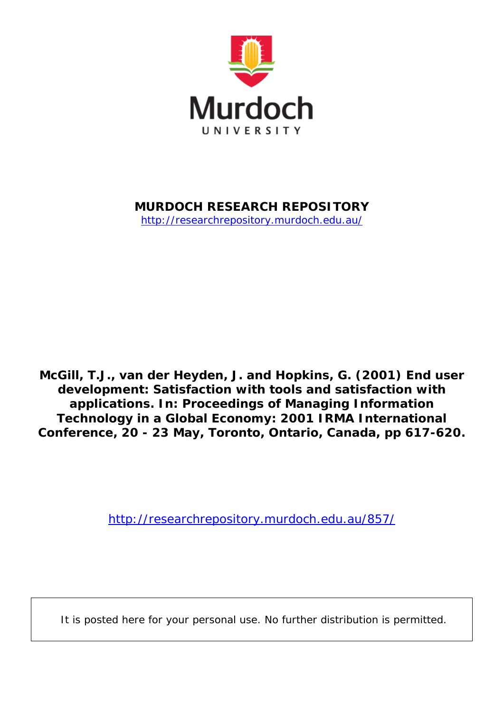

**MURDOCH RESEARCH REPOSITORY**

<http://researchrepository.murdoch.edu.au/>

**McGill, T.J., van der Heyden, J. and Hopkins, G. (2001)** *End user development: Satisfaction with tools and satisfaction with applications.* **In: Proceedings of Managing Information Technology in a Global Economy: 2001 IRMA International Conference, 20 - 23 May, Toronto, Ontario, Canada, pp 617-620.**

<http://researchrepository.murdoch.edu.au/857/>

It is posted here for your personal use. No further distribution is permitted.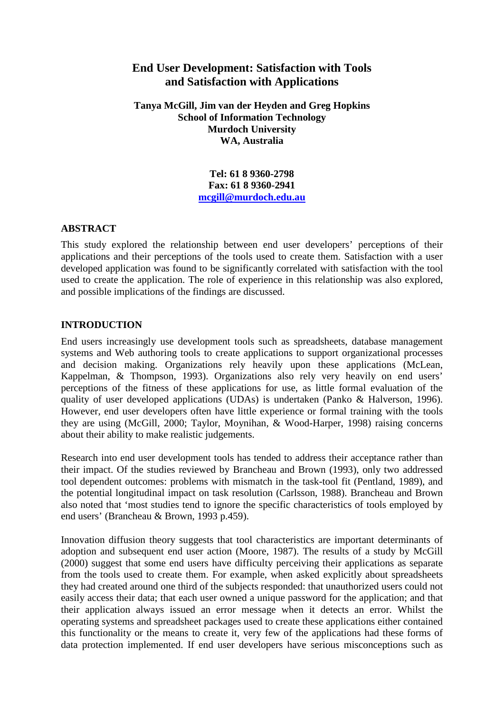# **End User Development: Satisfaction with Tools and Satisfaction with Applications**

**Tanya McGill, Jim van der Heyden and Greg Hopkins School of Information Technology Murdoch University WA, Australia**

> **Tel: 61 8 9360-2798 Fax: 61 8 9360-2941 [mcgill@murdoch.edu.au](mailto:mcgill@murdoch.edu.au)**

### **ABSTRACT**

This study explored the relationship between end user developers' perceptions of their applications and their perceptions of the tools used to create them. Satisfaction with a user developed application was found to be significantly correlated with satisfaction with the tool used to create the application. The role of experience in this relationship was also explored, and possible implications of the findings are discussed.

## **INTRODUCTION**

End users increasingly use development tools such as spreadsheets, database management systems and Web authoring tools to create applications to support organizational processes and decision making. Organizations rely heavily upon these applications (McLean, Kappelman, & Thompson, 1993). Organizations also rely very heavily on end users' perceptions of the fitness of these applications for use, as little formal evaluation of the quality of user developed applications (UDAs) is undertaken (Panko & Halverson, 1996). However, end user developers often have little experience or formal training with the tools they are using (McGill, 2000; Taylor, Moynihan, & Wood-Harper, 1998) raising concerns about their ability to make realistic judgements.

Research into end user development tools has tended to address their acceptance rather than their impact. Of the studies reviewed by Brancheau and Brown (1993), only two addressed tool dependent outcomes: problems with mismatch in the task-tool fit (Pentland, 1989), and the potential longitudinal impact on task resolution (Carlsson, 1988). Brancheau and Brown also noted that 'most studies tend to ignore the specific characteristics of tools employed by end users' (Brancheau & Brown, 1993 p.459).

Innovation diffusion theory suggests that tool characteristics are important determinants of adoption and subsequent end user action (Moore, 1987). The results of a study by McGill (2000) suggest that some end users have difficulty perceiving their applications as separate from the tools used to create them. For example, when asked explicitly about spreadsheets they had created around one third of the subjects responded: that unauthorized users could not easily access their data; that each user owned a unique password for the application; and that their application always issued an error message when it detects an error. Whilst the operating systems and spreadsheet packages used to create these applications either contained this functionality or the means to create it, very few of the applications had these forms of data protection implemented. If end user developers have serious misconceptions such as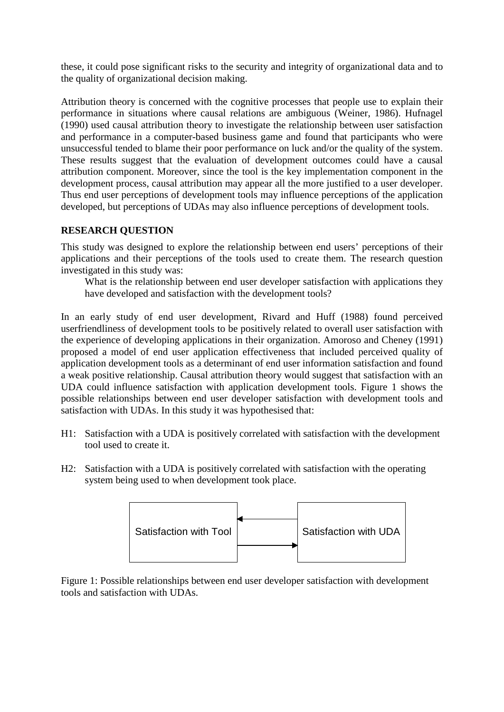these, it could pose significant risks to the security and integrity of organizational data and to the quality of organizational decision making.

Attribution theory is concerned with the cognitive processes that people use to explain their performance in situations where causal relations are ambiguous (Weiner, 1986). Hufnagel (1990) used causal attribution theory to investigate the relationship between user satisfaction and performance in a computer-based business game and found that participants who were unsuccessful tended to blame their poor performance on luck and/or the quality of the system. These results suggest that the evaluation of development outcomes could have a causal attribution component. Moreover, since the tool is the key implementation component in the development process, causal attribution may appear all the more justified to a user developer. Thus end user perceptions of development tools may influence perceptions of the application developed, but perceptions of UDAs may also influence perceptions of development tools.

## **RESEARCH QUESTION**

This study was designed to explore the relationship between end users' perceptions of their applications and their perceptions of the tools used to create them. The research question investigated in this study was:

What is the relationship between end user developer satisfaction with applications they have developed and satisfaction with the development tools?

In an early study of end user development, Rivard and Huff (1988) found perceived userfriendliness of development tools to be positively related to overall user satisfaction with the experience of developing applications in their organization. Amoroso and Cheney (1991) proposed a model of end user application effectiveness that included perceived quality of application development tools as a determinant of end user information satisfaction and found a weak positive relationship. Causal attribution theory would suggest that satisfaction with an UDA could influence satisfaction with application development tools. Figure 1 shows the possible relationships between end user developer satisfaction with development tools and satisfaction with UDAs. In this study it was hypothesised that:

- H1: Satisfaction with a UDA is positively correlated with satisfaction with the development tool used to create it.
- H2: Satisfaction with a UDA is positively correlated with satisfaction with the operating system being used to when development took place.



Figure 1: Possible relationships between end user developer satisfaction with development tools and satisfaction with UDAs.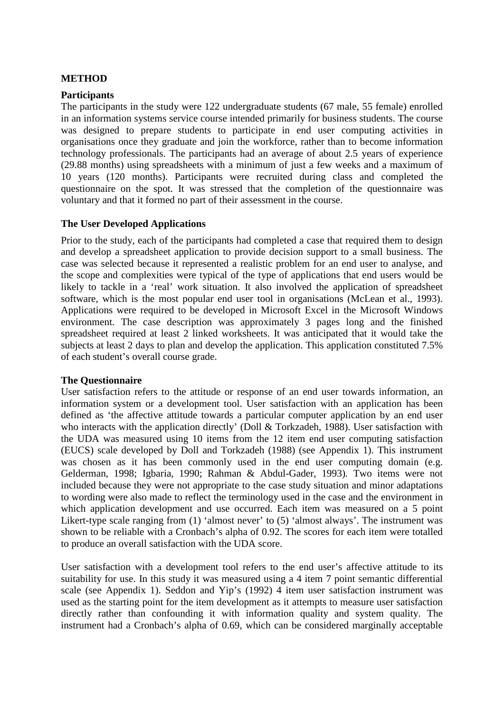#### **METHOD**

#### **Participants**

The participants in the study were 122 undergraduate students (67 male, 55 female) enrolled in an information systems service course intended primarily for business students. The course was designed to prepare students to participate in end user computing activities in organisations once they graduate and join the workforce, rather than to become information technology professionals. The participants had an average of about 2.5 years of experience (29.88 months) using spreadsheets with a minimum of just a few weeks and a maximum of 10 years (120 months). Participants were recruited during class and completed the questionnaire on the spot. It was stressed that the completion of the questionnaire was voluntary and that it formed no part of their assessment in the course.

### **The User Developed Applications**

Prior to the study, each of the participants had completed a case that required them to design and develop a spreadsheet application to provide decision support to a small business. The case was selected because it represented a realistic problem for an end user to analyse, and the scope and complexities were typical of the type of applications that end users would be likely to tackle in a 'real' work situation. It also involved the application of spreadsheet software, which is the most popular end user tool in organisations (McLean et al., 1993). Applications were required to be developed in Microsoft Excel in the Microsoft Windows environment. The case description was approximately 3 pages long and the finished spreadsheet required at least 2 linked worksheets. It was anticipated that it would take the subjects at least 2 days to plan and develop the application. This application constituted 7.5% of each student's overall course grade.

### **The Questionnaire**

User satisfaction refers to the attitude or response of an end user towards information, an information system or a development tool. User satisfaction with an application has been defined as 'the affective attitude towards a particular computer application by an end user who interacts with the application directly' (Doll & Torkzadeh, 1988). User satisfaction with the UDA was measured using 10 items from the 12 item end user computing satisfaction (EUCS) scale developed by Doll and Torkzadeh (1988) (see Appendix 1). This instrument was chosen as it has been commonly used in the end user computing domain (e.g. Gelderman, 1998; Igbaria, 1990; Rahman & Abdul-Gader, 1993)*.* Two items were not included because they were not appropriate to the case study situation and minor adaptations to wording were also made to reflect the terminology used in the case and the environment in which application development and use occurred. Each item was measured on a 5 point Likert-type scale ranging from (1) 'almost never' to (5) 'almost always'. The instrument was shown to be reliable with a Cronbach's alpha of 0.92. The scores for each item were totalled to produce an overall satisfaction with the UDA score.

User satisfaction with a development tool refers to the end user's affective attitude to its suitability for use. In this study it was measured using a 4 item 7 point semantic differential scale (see Appendix 1). Seddon and Yip's (1992) 4 item user satisfaction instrument was used as the starting point for the item development as it attempts to measure user satisfaction directly rather than confounding it with information quality and system quality. The instrument had a Cronbach's alpha of 0.69, which can be considered marginally acceptable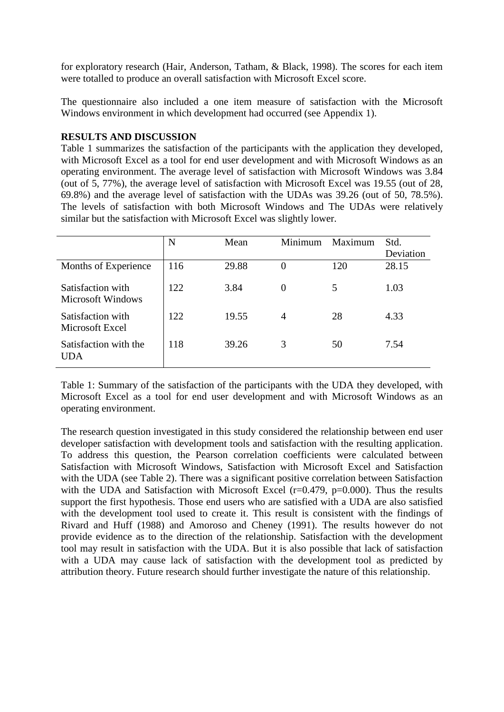for exploratory research (Hair, Anderson, Tatham, & Black, 1998). The scores for each item were totalled to produce an overall satisfaction with Microsoft Excel score.

The questionnaire also included a one item measure of satisfaction with the Microsoft Windows environment in which development had occurred (see Appendix 1).

## **RESULTS AND DISCUSSION**

Table 1 summarizes the satisfaction of the participants with the application they developed, with Microsoft Excel as a tool for end user development and with Microsoft Windows as an operating environment. The average level of satisfaction with Microsoft Windows was 3.84 (out of 5, 77%), the average level of satisfaction with Microsoft Excel was 19.55 (out of 28, 69.8%) and the average level of satisfaction with the UDAs was 39.26 (out of 50, 78.5%). The levels of satisfaction with both Microsoft Windows and The UDAs were relatively similar but the satisfaction with Microsoft Excel was slightly lower.

|                                               | N   | Mean  | Minimum        | Maximum | Std.<br>Deviation |
|-----------------------------------------------|-----|-------|----------------|---------|-------------------|
| Months of Experience                          | 116 | 29.88 | $\theta$       | 120     | 28.15             |
| Satisfaction with<br><b>Microsoft Windows</b> | 122 | 3.84  | $\overline{0}$ |         | 1.03              |
| Satisfaction with<br>Microsoft Excel          | 122 | 19.55 | $\overline{A}$ | 28      | 4.33              |
| Satisfaction with the<br>UDA                  | 118 | 39.26 | 3              | 50      | 7.54              |

Table 1: Summary of the satisfaction of the participants with the UDA they developed, with Microsoft Excel as a tool for end user development and with Microsoft Windows as an operating environment.

The research question investigated in this study considered the relationship between end user developer satisfaction with development tools and satisfaction with the resulting application. To address this question, the Pearson correlation coefficients were calculated between Satisfaction with Microsoft Windows, Satisfaction with Microsoft Excel and Satisfaction with the UDA (see Table 2). There was a significant positive correlation between Satisfaction with the UDA and Satisfaction with Microsoft Excel (r=0.479, p=0.000). Thus the results support the first hypothesis. Those end users who are satisfied with a UDA are also satisfied with the development tool used to create it. This result is consistent with the findings of Rivard and Huff (1988) and Amoroso and Cheney (1991). The results however do not provide evidence as to the direction of the relationship. Satisfaction with the development tool may result in satisfaction with the UDA. But it is also possible that lack of satisfaction with a UDA may cause lack of satisfaction with the development tool as predicted by attribution theory. Future research should further investigate the nature of this relationship.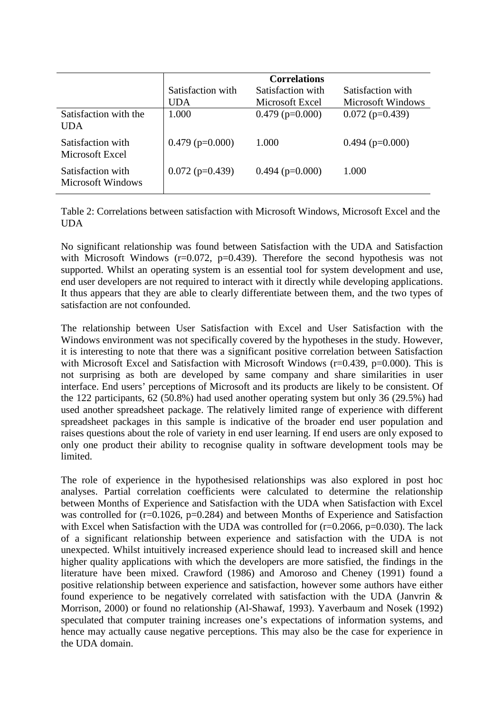|                                               | Satisfaction with | Satisfaction with |                   |
|-----------------------------------------------|-------------------|-------------------|-------------------|
|                                               | UDA               | Microsoft Excel   | Microsoft Windows |
| Satisfaction with the<br>UDA                  | 1.000             | $0.479$ (p=0.000) | $0.072$ (p=0.439) |
| Satisfaction with<br>Microsoft Excel          | $0.479$ (p=0.000) | 1.000             | $0.494$ (p=0.000) |
| Satisfaction with<br><b>Microsoft Windows</b> | $0.072$ (p=0.439) | $0.494$ (p=0.000) | 1.000             |

Table 2: Correlations between satisfaction with Microsoft Windows, Microsoft Excel and the UDA

No significant relationship was found between Satisfaction with the UDA and Satisfaction with Microsoft Windows ( $r=0.072$ ,  $p=0.439$ ). Therefore the second hypothesis was not supported. Whilst an operating system is an essential tool for system development and use, end user developers are not required to interact with it directly while developing applications. It thus appears that they are able to clearly differentiate between them, and the two types of satisfaction are not confounded.

The relationship between User Satisfaction with Excel and User Satisfaction with the Windows environment was not specifically covered by the hypotheses in the study. However, it is interesting to note that there was a significant positive correlation between Satisfaction with Microsoft Excel and Satisfaction with Microsoft Windows (r=0.439, p=0.000). This is not surprising as both are developed by same company and share similarities in user interface. End users' perceptions of Microsoft and its products are likely to be consistent. Of the 122 participants, 62 (50.8%) had used another operating system but only 36 (29.5%) had used another spreadsheet package. The relatively limited range of experience with different spreadsheet packages in this sample is indicative of the broader end user population and raises questions about the role of variety in end user learning. If end users are only exposed to only one product their ability to recognise quality in software development tools may be limited.

The role of experience in the hypothesised relationships was also explored in post hoc analyses. Partial correlation coefficients were calculated to determine the relationship between Months of Experience and Satisfaction with the UDA when Satisfaction with Excel was controlled for  $(r=0.1026, p=0.284)$  and between Months of Experience and Satisfaction with Excel when Satisfaction with the UDA was controlled for  $(r=0.2066, p=0.030)$ . The lack of a significant relationship between experience and satisfaction with the UDA is not unexpected. Whilst intuitively increased experience should lead to increased skill and hence higher quality applications with which the developers are more satisfied, the findings in the literature have been mixed. Crawford (1986) and Amoroso and Cheney (1991) found a positive relationship between experience and satisfaction, however some authors have either found experience to be negatively correlated with satisfaction with the UDA (Janvrin & Morrison, 2000) or found no relationship (Al-Shawaf, 1993). Yaverbaum and Nosek (1992) speculated that computer training increases one's expectations of information systems, and hence may actually cause negative perceptions. This may also be the case for experience in the UDA domain.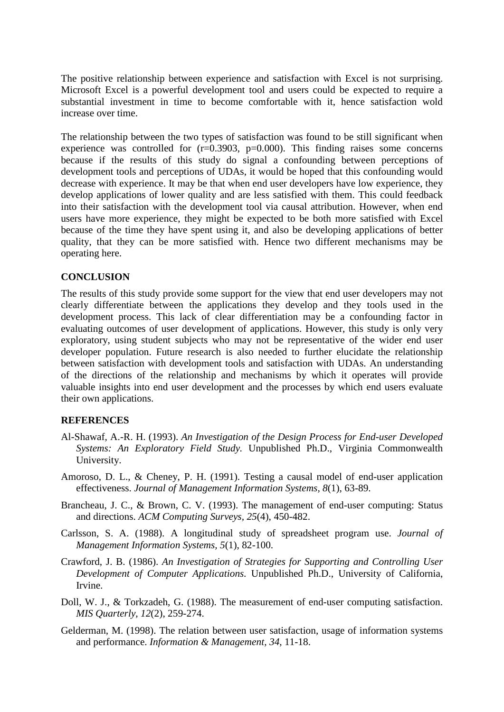The positive relationship between experience and satisfaction with Excel is not surprising. Microsoft Excel is a powerful development tool and users could be expected to require a substantial investment in time to become comfortable with it, hence satisfaction wold increase over time.

The relationship between the two types of satisfaction was found to be still significant when experience was controlled for  $(r=0.3903, p=0.000)$ . This finding raises some concerns because if the results of this study do signal a confounding between perceptions of development tools and perceptions of UDAs, it would be hoped that this confounding would decrease with experience. It may be that when end user developers have low experience, they develop applications of lower quality and are less satisfied with them. This could feedback into their satisfaction with the development tool via causal attribution. However, when end users have more experience, they might be expected to be both more satisfied with Excel because of the time they have spent using it, and also be developing applications of better quality, that they can be more satisfied with. Hence two different mechanisms may be operating here.

### **CONCLUSION**

The results of this study provide some support for the view that end user developers may not clearly differentiate between the applications they develop and they tools used in the development process. This lack of clear differentiation may be a confounding factor in evaluating outcomes of user development of applications. However, this study is only very exploratory, using student subjects who may not be representative of the wider end user developer population. Future research is also needed to further elucidate the relationship between satisfaction with development tools and satisfaction with UDAs. An understanding of the directions of the relationship and mechanisms by which it operates will provide valuable insights into end user development and the processes by which end users evaluate their own applications.

## **REFERENCES**

- Al-Shawaf, A.-R. H. (1993). *An Investigation of the Design Process for End-user Developed Systems: An Exploratory Field Study.* Unpublished Ph.D., Virginia Commonwealth University.
- Amoroso, D. L., & Cheney, P. H. (1991). Testing a causal model of end-user application effectiveness. *Journal of Management Information Systems, 8*(1), 63-89.
- Brancheau, J. C., & Brown, C. V. (1993). The management of end-user computing: Status and directions. *ACM Computing Surveys, 25*(4), 450-482.
- Carlsson, S. A. (1988). A longitudinal study of spreadsheet program use. *Journal of Management Information Systems, 5*(1), 82-100.
- Crawford, J. B. (1986). *An Investigation of Strategies for Supporting and Controlling User Development of Computer Applications.* Unpublished Ph.D., University of California, Irvine.
- Doll, W. J., & Torkzadeh, G. (1988). The measurement of end-user computing satisfaction. *MIS Quarterly, 12*(2), 259-274.
- Gelderman, M. (1998). The relation between user satisfaction, usage of information systems and performance. *Information & Management, 34*, 11-18.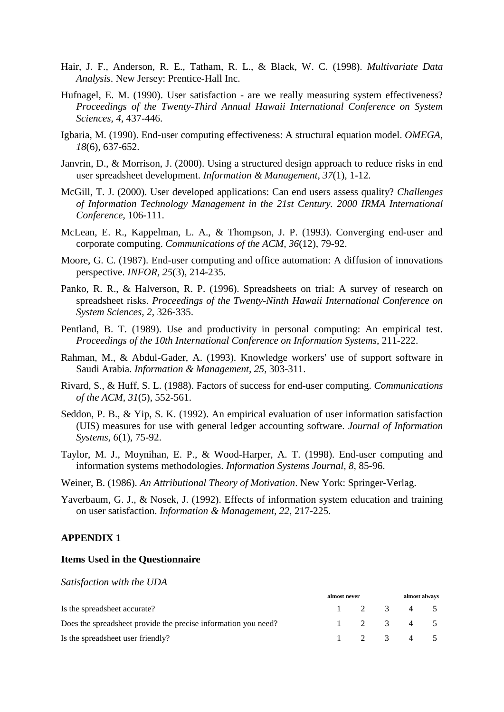- Hair, J. F., Anderson, R. E., Tatham, R. L., & Black, W. C. (1998). *Multivariate Data Analysis*. New Jersey: Prentice-Hall Inc.
- Hufnagel, E. M. (1990). User satisfaction are we really measuring system effectiveness? *Proceedings of the Twenty-Third Annual Hawaii International Conference on System Sciences, 4*, 437-446.
- Igbaria, M. (1990). End-user computing effectiveness: A structural equation model. *OMEGA, 18*(6), 637-652.
- Janvrin, D., & Morrison, J. (2000). Using a structured design approach to reduce risks in end user spreadsheet development. *Information & Management, 37*(1), 1-12.
- McGill, T. J. (2000). User developed applications: Can end users assess quality? *Challenges of Information Technology Management in the 21st Century. 2000 IRMA International Conference*, 106-111.
- McLean, E. R., Kappelman, L. A., & Thompson, J. P. (1993). Converging end-user and corporate computing. *Communications of the ACM, 36*(12), 79-92.
- Moore, G. C. (1987). End-user computing and office automation: A diffusion of innovations perspective. *INFOR, 25*(3), 214-235.
- Panko, R. R., & Halverson, R. P. (1996). Spreadsheets on trial: A survey of research on spreadsheet risks. *Proceedings of the Twenty-Ninth Hawaii International Conference on System Sciences, 2*, 326-335.
- Pentland, B. T. (1989). Use and productivity in personal computing: An empirical test. *Proceedings of the 10th International Conference on Information Systems*, 211-222.
- Rahman, M., & Abdul-Gader, A. (1993). Knowledge workers' use of support software in Saudi Arabia. *Information & Management, 25*, 303-311.
- Rivard, S., & Huff, S. L. (1988). Factors of success for end-user computing. *Communications of the ACM, 31*(5), 552-561.
- Seddon, P. B., & Yip, S. K. (1992). An empirical evaluation of user information satisfaction (UIS) measures for use with general ledger accounting software. *Journal of Information Systems, 6*(1), 75-92.
- Taylor, M. J., Moynihan, E. P., & Wood-Harper, A. T. (1998). End-user computing and information systems methodologies. *Information Systems Journal, 8*, 85-96.
- Weiner, B. (1986). *An Attributional Theory of Motivation*. New York: Springer-Verlag.
- Yaverbaum, G. J., & Nosek, J. (1992). Effects of information system education and training on user satisfaction. *Information & Management, 22*, 217-225.

#### **APPENDIX 1**

#### **Items Used in the Questionnaire**

*Satisfaction with the UDA*

|                                                                |  | almost never |  |                     | almost always |  |  |
|----------------------------------------------------------------|--|--------------|--|---------------------|---------------|--|--|
| Is the spreadsheet accurate?                                   |  |              |  | $1 \t2 \t3 \t4 \t5$ |               |  |  |
| Does the spreadsheet provide the precise information you need? |  |              |  | $1 \t2 \t3 \t4 \t5$ |               |  |  |
| Is the spreadsheet user friendly?                              |  |              |  | $1 \t2 \t3 \t4 \t5$ |               |  |  |